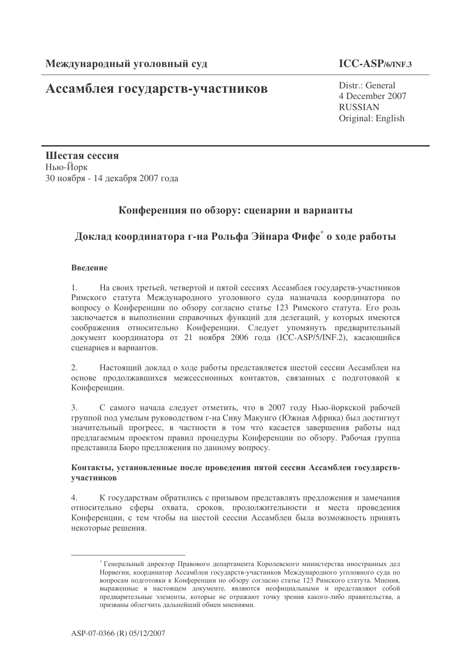# Ассамблея государств-участников

Distr.: General 4 December 2007 **RUSSIAN** Original: English

Шестая сессия Нью-Йорк 30 ноября - 14 декабря 2007 года

## Конференция по обзору: сценарии и варианты

## Доклад координатора г-на Рольфа Эйнара Фифе<sup>\*</sup> о ходе работы

## Ввеление

 $1.$ На своих третьей, четвертой и пятой сессиях Ассамблея государств-участников Римского статута Международного уголовного суда назначала координатора по вопросу о Конференции по обзору согласно статье 123 Римского статута. Его роль заключается в выполнении справочных функций для делегаций, у которых имеются соображения относительно Конференции. Следует упомянуть предварительный документ координатора от 21 ноября 2006 года (ICC-ASP/5/INF.2), касающийся сценариев и вариантов.

 $2.$ Настоящий доклад о ходе работы представляется шестой сессии Ассамблеи на основе продолжавшихся межсессионных контактов, связанных с подготовкой к Конференции.

 $3.$ С самого начала следует отметить, что в 2007 году Нью-йоркской рабочей группой под умелым руководством г-на Сиву Макунго (Южная Африка) был достигнут значительный прогресс, в частности в том что касается завершения работы над предлагаемым проектом правил процедуры Конференции по обзору. Рабочая группа представила Бюро предложения по данному вопросу.

#### Контакты, установленные после проведения пятой сессии Ассамблеи государствучастников

 $\overline{4}$ . К государствам обратились с призывом представлять предложения и замечания относительно сферы охвата, сроков, продолжительности и места проведения Конференции, с тем чтобы на шестой сессии Ассамблеи была возможность принять некоторые решения.

<sup>\*</sup> Генеральный директор Правового департамента Королевского министерства иностранных дел Норвегии, координатор Ассамблеи государств-участников Международного уголовного суда по вопросам подготовки к Конференции по обзору согласно статье 123 Римского статута. Мнения, выраженные в настоящем документе, являются неофициальными и представляют собой предварительные элементы, которые не отражают точку зрения какого-либо правительства, а призваны облегчить дальнейший обмен мнениями.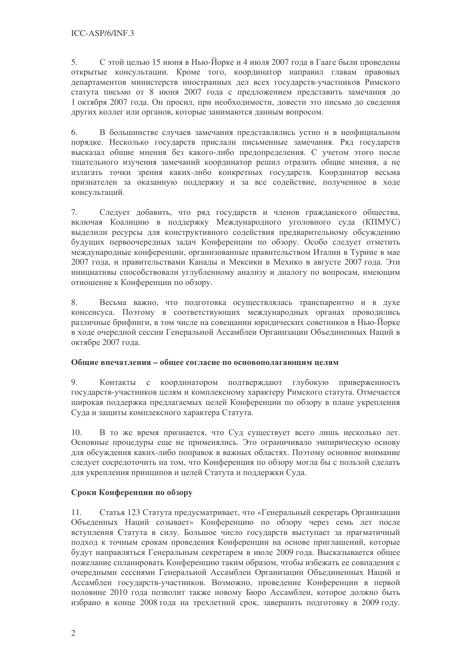5. С этой целью 15 июня в Нью-Йорке и 4 июля 2007 года в Гааге были проведены открытые консультации. Кроме того, координатор направил главам правовых департаментов министерств иностранных дел всех государств-участников Римского статута письмо от 8 июня 2007 года с предложением представить замечания до 1 октября 2007 года. Он просил, при необходимости, довести это письмо до сведения других коллег или органов, которые занимаются данным вопросом.

В большинстве случаев замечания представлялись устно и в неофициальном 6. порядке. Несколько государств прислали письменные замечания. Ряд государств высказал общие мнения без какого-либо предопределения. С учетом этого после тщательного изучения замечаний координатор решил отразить общие мнения, а не излагать точки зрения каких-либо конкретных государств. Координатор весьма признателен за оказанную поддержку и за все содействие, полученное в ходе консультаций.

Следует добавить, что ряд государств и членов гражданского общества, 7. включая Коалицию в поддержку Международного уголовного суда (КПМУС) выделили ресурсы для конструктивного содействия предварительному обсуждению будущих первоочередных задач Конференции по обзору. Особо следует отметить международные конференции, организованные правительством Италии в Турине в мае 2007 года, и правительствами Канады и Мексики в Мехико в августе 2007 года. Эти инициативы способствовали углубленному анализу и диалогу по вопросам, имеющим отношение к Конференции по обзору.

Весьма важно, что полготовка осуществлялась транспарентно и в лухе 8. консенсуса. Поэтому в соответствующих международных органах проводились различные брифинги, в том числе на совещании юридических советников в Нью-Йорке в ходе очередной сессии Генеральной Ассамблеи Организации Объединенных Наций в октябре 2007 года.

## Обшие впечатления – обшее согласие по основополагающим целям

9. Контакты с координатором подтверждают глубокую приверженность государств-участников целям и комплексному характеру Римского статута. Отмечается широкая поддержка предлагаемых целей Конференции по обзору в плане укрепления Суда и защиты комплексного характера Статута.

В то же время признается, что Суд существует всего лишь несколько лет. 10. Основные процедуры еще не применялись. Это ограничивало эмпирическую основу для обсуждения каких-либо поправок в важных областях. Поэтому основное внимание следует сосредоточить на том, что Конференция по обзору могла бы с пользой сделать для укрепления принципов и целей Статута и поддержки Суда.

## Сроки Конференции по обзору

Статья 123 Статута предусматривает, что «Генеральный секретарь Организации 11. Объеденных Наций созывает» Конференцию по обзору через семь лет после вступления Статута в силу. Большое число государств выступает за прагматичный подход к точным срокам проведения Конференции на основе приглашений, которые будут направляться Генеральным секретарем в июле 2009 года. Высказывается общее пожелание спланировать Конференцию таким образом, чтобы избежать ее совпадения с очередными сессиями Генеральной Ассамблеи Организации Объединенных Наций и Ассамблеи государств-участников. Возможно, проведение Конференции в первой половине 2010 года позволит также новому Бюро Ассамблеи, которое должно быть избрано в конце 2008 года на трехлетний срок, завершить подготовку в 2009 году.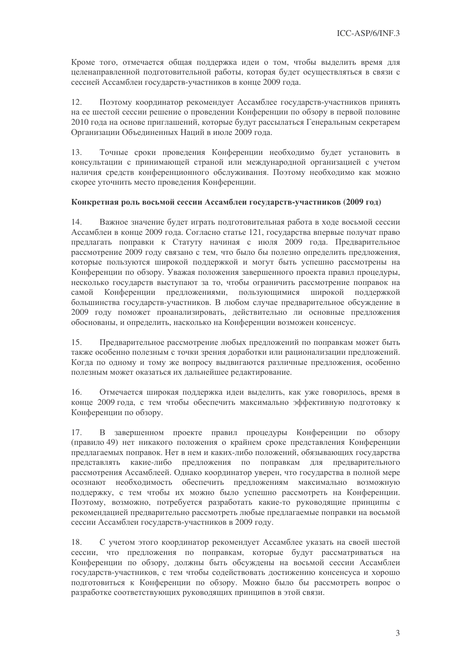Кроме того, отмечается общая поддержка идеи о том, чтобы выделить время для целенаправленной подготовительной работы, которая будет осуществляться в связи с сессией Ассамблеи государств-участников в конце 2009 года.

 $12.$ Поэтому координатор рекомендует Ассамблее государств-участников принять на ее шестой сессии решение о проведении Конференции по обзору в первой половине 2010 года на основе приглашений, которые будут рассылаться Генеральным секретарем Организации Объединенных Наций в июле 2009 года.

Точные сроки проведения Конференции необходимо будет установить в  $13.$ консультации с принимающей страной или международной организацией с учетом наличия средств конференционного обслуживания. Поэтому необходимо как можно скорее уточнить место проведения Конференции.

#### Конкретная роль восьмой сессии Ассамблеи государств-участников (2009 год)

 $14.$ Важное значение будет играть подготовительная работа в ходе восьмой сессии Ассамблеи в конце 2009 года. Согласно статье 121, государства впервые получат право предлагать поправки к Статуту начиная с июля 2009 года. Предварительное рассмотрение 2009 году связано с тем, что было бы полезно определить предложения, которые пользуются широкой поддержкой и могут быть успешно рассмотрены на Конференции по обзору. Уважая положения завершенного проекта правил процедуры, несколько государств выступают за то, чтобы ограничить рассмотрение поправок на Конференции предложениями, пользующимися широкой поддержкой самой большинства государств-участников. В любом случае предварительное обсуждение в 2009 году поможет проанализировать, действительно ли основные предложения обоснованы, и определить, насколько на Конференции возможен консенсус.

Предварительное рассмотрение любых предложений по поправкам может быть 15. также особенно полезным с точки зрения доработки или рационализации предложений. Когда по одному и тому же вопросу выдвигаются различные предложения, особенно полезным может оказаться их дальнейшее редактирование.

 $16.$ Отмечается широкая поддержка идеи выделить, как уже говорилось, время в конце 2009 года, с тем чтобы обеспечить максимально эффективную подготовку к Конференции по обзору.

17. B завершенном проекте правил процедуры Конференции по обзору (правило 49) нет никакого положения о крайнем сроке представления Конференции предлагаемых поправок. Нет в нем и каких-либо положений, обязывающих государства представлять какие-либо предложения по поправкам для предварительного рассмотрения Ассамблеей. Однако координатор уверен, что государства в полной мере осознают необходимость обеспечить предложениям максимально возможную поддержку, с тем чтобы их можно было успешно рассмотреть на Конференции. Поэтому, возможно, потребуется разработать какие-то руководящие принципы с рекомендацией предварительно рассмотреть любые предлагаемые поправки на восьмой сессии Ассамблеи государств-участников в 2009 году.

С учетом этого координатор рекомендует Ассамблее указать на своей шестой 18 сессии, что предложения по поправкам, которые будут рассматриваться на Конференции по обзору, должны быть обсуждены на восьмой сессии Ассамблеи государств-участников, с тем чтобы содействовать достижению консенсуса и хорошо подготовиться к Конференции по обзору. Можно было бы рассмотреть вопрос о разработке соответствующих руководящих принципов в этой связи.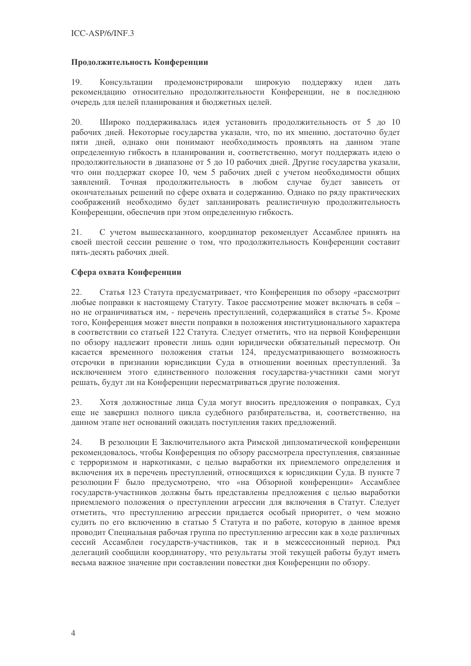### Продолжительность Конференции

19. продемонстрировали ШИРОКУЮ Консультации поддержку илеи лать рекомендацию относительно продолжительности Конференции, не в последнюю очередь для целей планирования и бюджетных целей.

20. Широко поддерживалась идея установить продолжительность от 5 до 10 рабочих дней. Некоторые государства указали, что, по их мнению, достаточно будет пяти дней, однако они понимают необходимость проявлять на данном этапе определенную гибкость в планировании и, соответственно, могут поддержать идею о продолжительности в диапазоне от 5 до 10 рабочих дней. Другие государства указали, что они поддержат скорее 10, чем 5 рабочих дней с учетом необходимости общих Точная продолжительность в любом случае будет зависеть от заявлений. окончательных решений по сфере охвата и содержанию. Однако по ряду практических соображений необходимо будет запланировать реалистичную продолжительность Конференции, обеспечив при этом определенную гибкость.

С учетом вышесказанного, координатор рекомендует Ассамблее принять на  $21.$ своей шестой сессии решение о том, что продолжительность Конференции составит пять-десять рабочих дней.

## Сфера охвата Конференции

Статья 123 Статута предусматривает, что Конференция по обзору «рассмотрит  $22.$ любые поправки к настоящему Статуту. Такое рассмотрение может включать в себя но не ограничиваться им, - перечень преступлений, содержащийся в статье 5». Кроме того, Конференция может внести поправки в положения институционального характера в соответствии со статьей 122 Статута. Следует отметить, что на первой Конференции по обзору надлежит провести лишь один юридически обязательный пересмотр. Он касается временного положения статьи 124, предусматривающего возможность отсрочки в признании юрисдикции Суда в отношении военных преступлений. За исключением этого единственного положения государства-участники сами могут решать, будут ли на Конференции пересматриваться другие положения.

Хотя должностные лица Суда могут вносить предложения о поправках, Суд 23. еще не завершил полного цикла судебного разбирательства, и, соответственно, на данном этапе нет оснований ожидать поступления таких предложений.

В резолюции Е Заключительного акта Римской дипломатической конференции 24. рекомендовалось, чтобы Конференция по обзору рассмотрела преступления, связанные с терроризмом и наркотиками, с целью выработки их приемлемого определения и включения их в перечень преступлений, относящихся к юрисдикции Суда. В пункте 7 резолюции F было предусмотрено, что «на Обзорной конференции» Ассамблее государств-участников должны быть представлены предложения с целью выработки приемлемого положения о преступлении агрессии для включения в Статут. Следует отметить, что преступлению агрессии придается особый приоритет, о чем можно судить по его включению в статью 5 Статута и по работе, которую в данное время проводит Специальная рабочая группа по преступлению агрессии как в ходе различных сессий Ассамблеи государств-участников, так и в межсессионный период. Ряд делегаций сообщили координатору, что результаты этой текущей работы будут иметь весьма важное значение при составлении повестки дня Конференции по обзору.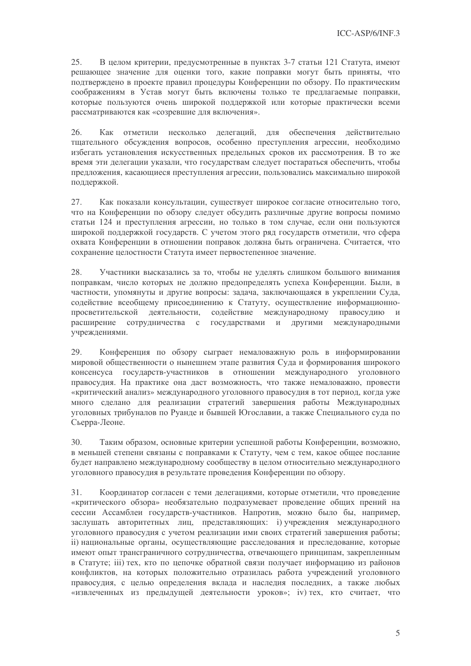25. В целом критерии, предусмотренные в пунктах 3-7 статьи 121 Статута, имеют решающее значение для оценки того, какие поправки могут быть приняты, что подтверждено в проекте правил процедуры Конференции по обзору. По практическим соображениям в Устав могут быть включены только те предлагаемые поправки, которые пользуются очень широкой поддержкой или которые практически всеми рассматриваются как «созревшие для включения».

Как отметили несколько делегаций, для обеспечения действительно 26. тщательного обсуждения вопросов, особенно преступления агрессии, необходимо избегать установления искусственных предельных сроков их рассмотрения. В то же время эти делегации указали, что государствам следует постараться обеспечить, чтобы предложения, касающиеся преступления агрессии, пользовались максимально широкой поддержкой.

27. Как показали консультации, существует широкое согласие относительно того, что на Конференции по обзору следует обсудить различные другие вопросы помимо статьи 124 и преступления агрессии, но только в том случае, если они пользуются широкой поддержкой государств. С учетом этого ряд государств отметили, что сфера охвата Конференции в отношении поправок должна быть ограничена. Считается, что сохранение целостности Статута имеет первостепенное значение.

28. Участники высказались за то, чтобы не уделять слишком большого внимания поправкам, число которых не должно предопределять успеха Конференции. Были, в частности, упомянуты и другие вопросы: задача, заключающаяся в укреплении Суда, содействие всеобщему присоединению к Статуту, осуществление информационнопросветительской деятельности, содействие международному правосудию и расширение сотрудничества с государствами и другими международными учреждениями.

29 Конференция по обзору сыграет немаловажную роль в информировании мировой общественности о нынешнем этапе развития Суда и формирования широкого консенсуса государств-участников в отношении международного уголовного правосудия. На практике она даст возможность, что также немаловажно, провести «критический анализ» международного уголовного правосудия в тот период, когда уже много сделано для реализации стратегий завершения работы Международных уголовных трибуналов по Руанде и бывшей Югославии, а также Специального суда по Сьерра-Леоне.

Таким образом, основные критерии успешной работы Конференции, возможно, 30. в меньшей степени связаны с поправками к Статуту, чем с тем, какое общее послание будет направлено международному сообществу в целом относительно международного уголовного правосудия в результате проведения Конференции по обзору.

 $31.$ Координатор согласен с теми делегациями, которые отметили, что проведение «критического обзора» необязательно подразумевает проведение общих прений на сессии Ассамблеи государств-участников. Напротив, можно было бы, например, заслушать авторитетных лиц, представляющих: і) учреждения международного уголовного правосудия с учетом реализации ими своих стратегий завершения работы; іі) национальные органы, осуществляющие расследования и преследование, которые имеют опыт трансграничного сотрудничества, отвечающего принципам, закрепленным в Статуте; iii) тех, кто по цепочке обратной связи получает информацию из районов конфликтов, на которых положительно отразилась работа учреждений уголовного правосудия, с целью определения вклада и наследия последних, а также любых «извлеченных из предыдущей деятельности уроков»; iv) тех, кто считает, что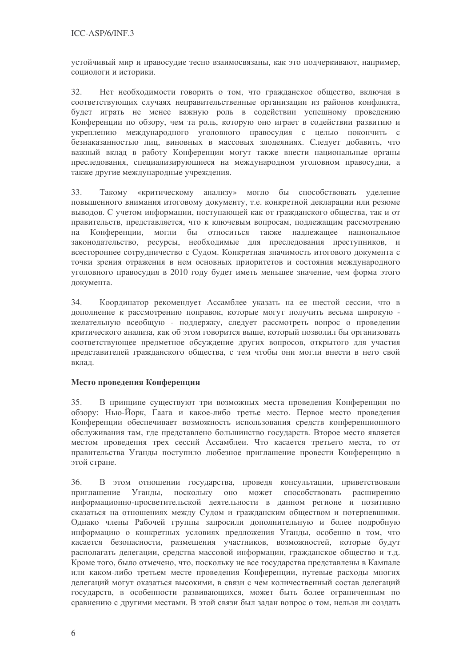устойчивый мир и правосудие тесно взаимосвязаны, как это подчеркивают, например, социологи и историки.

 $32.$ Нет необходимости говорить о том, что гражданское общество, включая в соответствующих случаях неправительственные организации из районов конфликта, будет играть не менее важную роль в содействии успешному проведению Конференции по обзору, чем та роль, которую оно играет в содействии развитию и укреплению международного уголовного правосудия с целью покончить с безнаказанностью лиц, виновных в массовых злодеяниях. Следует добавить, что важный вклад в работу Конференции могут также внести национальные органы преследования, специализирующиеся на международном уголовном правосудии, а также другие международные учреждения.

33. Такому «критическому анализу» могло бы способствовать уделение повышенного внимания итоговому документу, т.е. конкретной декларации или резюме выводов. С учетом информации, поступающей как от гражданского общества, так и от правительств, представляется, что к ключевым вопросам, подлежащим рассмотрению Конференции, могли бы относиться также наллежащее национальное на законодательство, ресурсы, необходимые для преследования преступников, и всестороннее сотрудничество с Судом. Конкретная значимость итогового документа с точки зрения отражения в нем основных приоритетов и состояния международного уголовного правосудия в 2010 году будет иметь меньшее значение, чем форма этого документа.

Координатор рекомендует Ассамблее указать на ее шестой сессии, что в  $34.$ дополнение к рассмотрению поправок, которые могут получить весьма широкую желательную всеобщую - поддержку, следует рассмотреть вопрос о проведении критического анализа, как об этом говорится выше, который позволил бы организовать соответствующее предметное обсуждение других вопросов, открытого для участия представителей гражданского общества, с тем чтобы они могли внести в него свой вклад.

## Место провеления Конференции

В принципе существуют три возможных места проведения Конференции по 35. обзору: Нью-Йорк, Гаага и какое-либо третье место. Первое место проведения Конференции обеспечивает возможность использования средств конференционного обслуживания там, где представлено большинство государств. Второе место является местом проведения трех сессий Ассамблеи. Что касается третьего места, то от правительства Уганды поступило любезное приглашение провести Конференцию в этой стране.

В этом отношении государства, проведя консультации, приветствовали  $36<sup>°</sup>$ Уганды, поскольку оно может способствовать расширению приглашение информационно-просветительской деятельности в данном регионе и позитивно сказаться на отношениях между Судом и гражданским обществом и потерпевшими. Однако члены Рабочей группы запросили дополнительную и более подробную информацию о конкретных условиях предложения Уганды, особенно в том, что касается безопасности, размещения участников, возможностей, которые будут располагать делегации, средства массовой информации, гражданское общество и т.д. Кроме того, было отмечено, что, поскольку не все государства представлены в Кампале или каком-либо третьем месте проведения Конференции, путевые расходы многих делегаций могут оказаться высокими, в связи с чем количественный состав делегаций государств, в особенности развивающихся, может быть более ограниченным по сравнению с другими местами. В этой связи был задан вопрос о том, нельзя ли создать